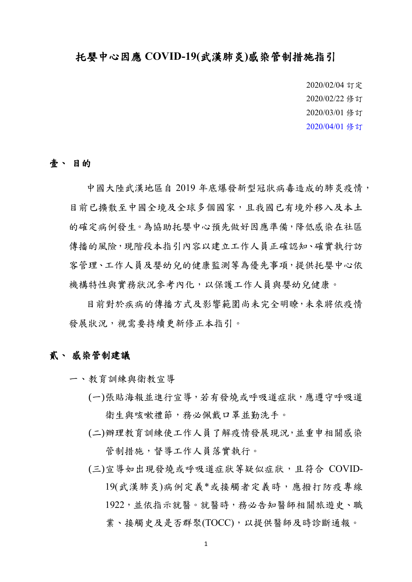## 托嬰中心因應 **COVID-19(**武漢肺炎**)**感染管制措施指引

2020/02/04 訂定 2020/02/22 修訂 2020/03/01 修訂 2020/04/01 修訂

## 壹、 目的

中國大陸武漢地區自 2019 年底爆發新型冠狀病毒造成的肺炎疫情, 目前已攜散至中國全境及全球多個國家,且我國已有境外移入及本土 的確定病例發生。為協助托嬰中心預先做好因應準備,降低感染在社區 傳播的風險,現階段本指引內容以建立工作人員正確認知、確實執行訪 客管理、工作人員及嬰幼兒的健康監測等為優先事項,提供托嬰中心依 機構特性與實務狀況參考內化,以保護工作人員與嬰幼兒健康。

目前對於疾病的傳播方式及影響範圍尚未完全明瞭,未來將依疫情 發展狀況,視需要持續更新修正本指引。

## 貳、 感染管制建議

- 一、教育訓練與衛教宣導
	- (一)張貼海報並進行宣導,若有發燒或呼吸道症狀,應遵守呼吸道 衛生與咳嗽禮節,務必佩戴口罩並勤洗手。
	- (二)辦理教育訓練使工作人員了解疫情發展現況,並重申相關感染 管制措施,督導工作人員落實執行。
	- (三)宣導如出現發燒或呼吸道症狀等疑似症狀,且符合 COVID-19(武漢肺炎)病例定義\*或接觸者定義時,應撥打防疫專線 1922,並依指示就醫。就醫時,務必告知醫師相關旅遊史、職 業、接觸史及是否群聚(TOCC), 以提供醫師及時診斷通報。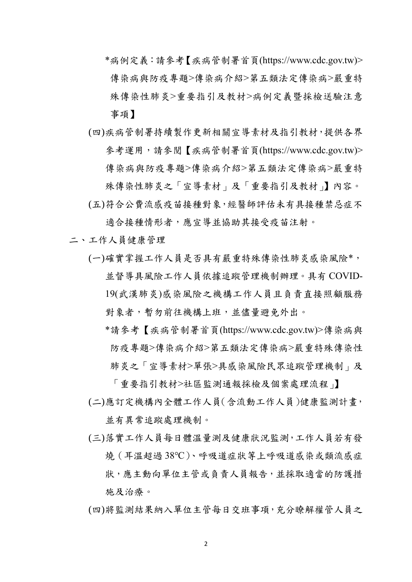- \*病例定義:請參考【疾病管制署首頁(https://www.cdc.gov.tw)> 傳染病與防疫專題>傳染病介紹>第五類法定傳染病>嚴重特 殊傳染性肺炎>重要指引及教材>[病例定義暨採檢送驗注意](https://www.cdc.gov.tw/File/Get/jcbVc8LNCXwvfJxYlj_P4A) [事項】](https://www.cdc.gov.tw/File/Get/jcbVc8LNCXwvfJxYlj_P4A)
- (四)疾病管制署持續製作更新相關宣導素材及指引教材,提供各界 參考運用,請參閱【疾病管制署首頁(https://www.cdc.gov.tw)> 傳染病與防疫專題>傳染病介紹>第五類法定傳染病>嚴重特 殊傳染性肺炎之「宣導素材」及「重要指引及教材」】內容。 (五)符合公費流感疫苗接種對象,經醫師評估未有具接種禁忌症不
- 適合接種情形者,應宣導並協助其接受疫苗注射。
- 二、工作人員健康管理
	- (一)確實掌握工作人員是否具有嚴重特殊傳染性肺炎感染風險\*, 並督導具風險工作人員依據追蹤管理機制辦理。具有 COVID-19(武漢肺炎)感染風險之機構工作人員且負責直接照顧服務 對象者,暫勿前往機構上班,並儘量避免外出。
		- \*請參考【疾病管制署首頁(https://www.cdc.gov.tw)>傳染病與 防疫專題>傳染病介紹>第五類法定傳染病>嚴重特殊傳染性 肺炎之「宣導素材>單張>具感染風險民眾追蹤管理機制」及

「重要指引教材>社區監測通報採檢及個案處理流程」】 (二)應訂定機構內全體工作人員(含流動工作人員)健康監測計畫, 並有異常追蹤處理機制。

- (三)落實工作人員每日體溫量測及健康狀況監測,工作人員若有發 燒(耳溫超過 38℃)、呼吸道症狀等上呼吸道感染或類流感症 狀,應主動向單位主管或負責人員報告,並採取適當的防護措 施及治療。
- (四)將監測結果納入單位主管每日交班事項,充分瞭解權管人員之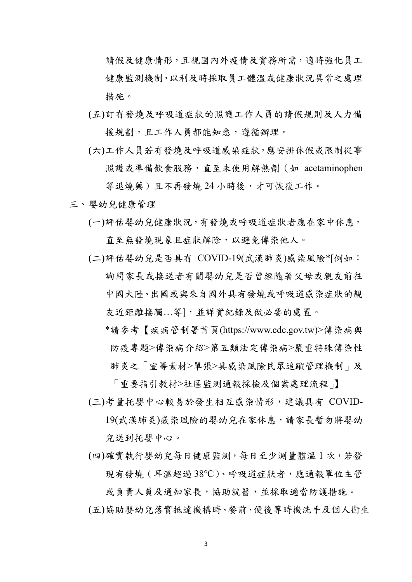請假及健康情形,且視國內外疫情及實務所需,適時強化員工 健康監測機制,以利及時採取員工體溫或健康狀況異常之處理 措施。

- (五)訂有發燒及呼吸道症狀的照護工作人員的請假規則及人力備 接規劃,且工作人員都能知悉,遵循辦理。
- (六)工作人員若有發燒及呼吸道感染症狀,應安排休假或限制從事 照護或準備飲食服務, 直至未使用解熱劑 (如 acetaminophen 等退燒藥)且不再發燒24小時後,才可恢復工作。
- 三、嬰幼兒健康管理
	- (一)評估嬰幼兒健康狀況,有發燒或呼吸道症狀者應在家中休息, 直至無發燒現象且症狀解除,以避免傳染他人。
	- (二)評估嬰幼兒是否具有 COVID-19(武漢肺炎)感染風險\*[例如: 詢問家長或接送者有關嬰幼兒是否曾經隨著父母或親友前往 中國大陸、出國或與來自國外具有發燒或呼吸道感染症狀的親 友近距離接觸... 等], 並詳實紀錄及做必要的處置。
		- \*請參考【疾病管制署首頁(https://www.cdc.gov.tw)>傳染病與 防疫專題>傳染病介紹>第五類法定傳染病>嚴重特殊傳染性 肺炎之「宣導素材>單張>具感染風險民眾追蹤管理機制」及

「重要指引教材>社區監測通報採檢及個案處理流程」】 (三)考量托嬰中心較易於發生相互感染情形,建議具有 COVID-

19(武漢肺炎)感染風險的嬰幼兒在家休息,請家長暫勿將嬰幼 兒送到托嬰中心。

(四)確實執行嬰幼兒每日健康監測,每日至少測量體溫 1 次,若發 現有發燒(耳溫超過 38℃)、呼吸道症狀者,應通報單位主管

或負責人員及通知家長,協助就醫,並採取適當防護措施。 (五)協助嬰幼兒落實抵達機構時、餐前、便後等時機洗手及個人衛生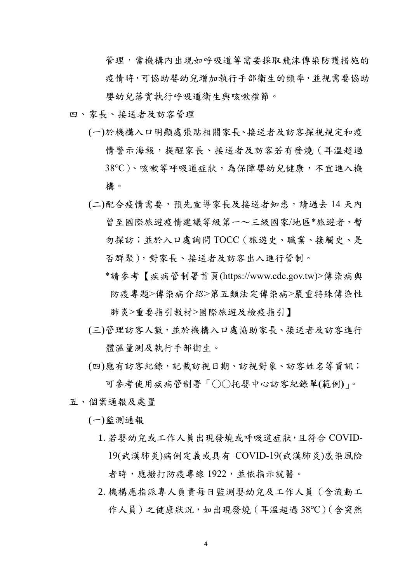管理,當機構內出現如呼吸道等需要採取飛沫傳染防護措施的 疫情時,可協助嬰幼兒增加執行手部衛生的頻率,並視需要協助 嬰幼兒落實執行呼吸道衛生與咳嗽禮節。

- 四、家長、接送者及訪客管理
	- (一)於機構入口明顯處張貼相關家長、接送者及訪客探視規定和疫 情警示海報,提醒家長、接送者及訪客若有發燒(耳溫超過 38℃)、咳嗽等呼吸道症狀,為保障嬰幼兒健康,不宜進入機 構。
	- (二)配合疫情需要,預先宣導家長及接送者知悉,請過去 14 天內 曾至國際旅遊疫情建議等級第一~三級國家/地區\*旅遊者,暫 勿探訪;並於入口處詢問 TOCC(旅遊史、職業、接觸史、是 否群聚),對家長、接送者及訪客出入進行管制。
		- \*請參考【疾病管制署首頁(https://www.cdc.gov.tw)>傳染病與 防疫專題>傳染病介紹>第五類法定傳染病>嚴重特殊傳染性 肺炎>重要指引教材>國際旅遊及檢疫指引】
	- (三)管理訪客人數,並於機構入口處協助家長、接送者及訪客進行 體溫量測及執行手部衛生。
	- (四)應有訪客紀錄,記載訪視日期、訪視對象、訪客姓名等資訊; 可參考使用疾病管制署「○○托嬰中心訪客紀錄單**(**範例**)**」。
- 五、個案通報及處置

(一)監測通報

- 1. 若嬰幼兒或工作人員出現發燒或呼吸道症狀,且符合 COVID-19(武漢肺炎)病例定義或具有 COVID-19(武漢肺炎)感染風險 者時,應撥打防疫專線 1922, 並依指示就醫。
- 2. 機構應指派專人負責每日監測嬰幼兒及工作人員(含流動工 作人員)之健康狀況,如出現發燒 (耳溫超過 38℃) ( 含突然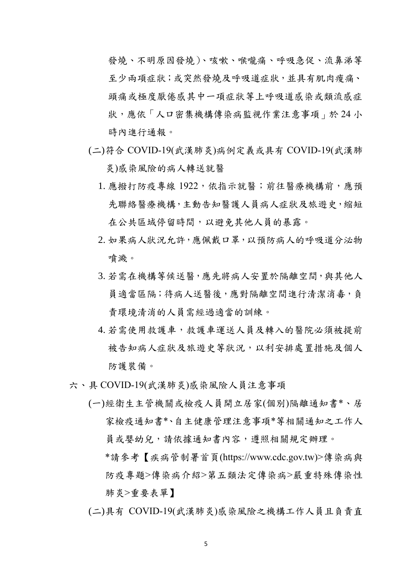發燒、不明原因發燒)、咳嗽、喉嚨痛、呼吸急促、流鼻涕等 至少兩項症狀;或突然發燒及呼吸道症狀,並具有肌肉痠痛、 頭痛或極度厭倦感其中一項症狀等上呼吸道感染或類流感症 狀,應依「人口密集機構傳染病監視作業注意事項」於 24 小 時內進行通報。

- (二)符合 COVID-19(武漢肺炎)病例定義或具有 COVID-19(武漢肺 炎)感染風險的病人轉送就醫
	- 1. 應撥打防疫專線 1922, 依指示就醫;前往醫療機構前,應預 先聯絡醫療機構,主動告知醫護人員病人症狀及旅遊史,縮短 在公共區域停留時間,以避免其他人員的暴露。
	- 2. 如果病人狀況允許,應佩戴口罩,以預防病人的呼吸道分泌物 噴濺。
	- 3. 若需在機構等候送醫,應先將病人安置於隔離空間,與其他人 員適當區隔;待病人送醫後,應對隔離空間進行清潔消毒,負 責環境清消的人員需經過適當的訓練。
	- 4. 若需使用救護車,救護車運送人員及轉入的醫院必須被提前 被告知病人症狀及旅遊史等狀況,以利安排處置措施及個人 防護裝備。
- 六、具 COVID-19(武漢肺炎)感染風險人員注意事項
	- (一)經衛生主管機關或檢疫人員開立居家(個別)隔離通知書\*、居 家檢疫通知書\*、自主健康管理注意事項\*等相關通知之工作人 員或嬰幼兒,請依據通知書內容,遵照相關規定辦理。
		- \*請參考【疾病管制署首頁(https://www.cdc.gov.tw)>傳染病與 防疫專題>傳染病介紹>第五類法定傳染病>嚴重特殊傳染性 肺炎>重要表單】
	- (二)具有 COVID-19(武漢肺炎)感染風險之機構工作人員且負責直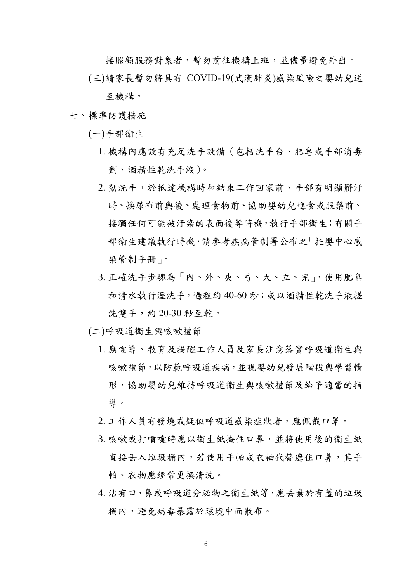接照顧服務對象者,暫勿前往機構上班,並儘量避免外出。

(三)請家長暫勿將具有 COVID-19(武漢肺炎)感染風險之嬰幼兒送

至機構。

七、標準防護措施

(一)手部衛生

- 1. 機構內應設有充足洗手設備(包括洗手台、肥皂或手部消毒 劑、酒精性乾洗手液)。
- 2. 勤洗手,於抵達機構時和結束工作回家前、手部有明顯髒汙 時、換尿布前與後、處理食物前、協助嬰幼兒進食或服藥前、 接觸任何可能被汙染的表面後等時機,執行手部衛生;有關手 部衛生建議執行時機,請參考疾病管制署公布之「托嬰中心感 染管制手冊」。
- 3. 正確洗手步驟為「內、外、夾、弓、大、立、完」,使用肥皂 和清水執行溼洗手,過程約 40-60 秒;或以酒精性乾洗手液搓 洗雙手,約 20-30 秒至乾。
- (二)呼吸道衛生與咳嗽禮節
	- 1. 應宣導、教育及提醒工作人員及家長注意落實呼吸道衛生與 咳嗽禮節,以防範呼吸道疾病,並視嬰幼兒發展階段與學習情 形,協助嬰幼兒維持呼吸道衛生與咳嗽禮節及給予適當的指 導。
	- 2. 工作人員有發燒或疑似呼吸道感染症狀者,應佩戴口罩。
	- 3. 咳嗽或打噴嚏時應以衛生紙掩住口鼻, 並將使用後的衛生紙 直接丢入垃圾桶內,若使用手帕或衣袖代替遮住口鼻,其手 帕、衣物應經常更換清洗。
	- 4. 沾有口、鼻或呼吸道分泌物之衛生紙等,應丟棄於有蓋的垃圾 桶內,避免病毒暴露於環境中而散布。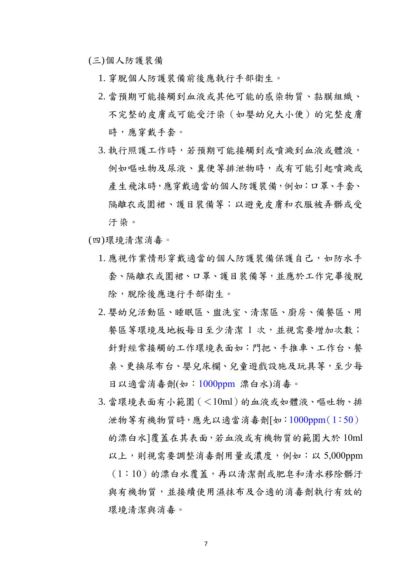(三)個人防護裝備

- 1. 穿脫個人防護裝備前後應執行手部衛生。
- 2. 當預期可能接觸到血液或其他可能的感染物質、黏膜組織、 不完整的皮膚或可能受汙染(如嬰幼兒大小便)的完整皮膚 時,應穿戴手套。
- 3. 執行照護工作時,若預期可能接觸到或噴濺到血液或體液, 例如嘔吐物及尿液、糞便等排泄物時,或有可能引起噴濺或 產生飛沫時,應穿戴適當的個人防護裝備,例如:口罩、手套、 隔離衣或圍裙、護目裝備等;以避免皮膚和衣服被弄髒或受 汙染。
- (四)環境清潔消毒。
	- 1. 應視作業情形穿戴適當的個人防護裝備保護自己,如防水手 套、隔離衣或圍裙、口罩、護目裝備等,並應於工作完畢後脫 除,脫除後應進行手部衛生。
	- 2. 嬰幼兒活動區、睡眠區、盥洗室、清潔區、廚房、備餐區、用 餐區等環境及地板每日至少清潔 1 次,並視需要增加次數; 針對經常接觸的工作環境表面如:門把、手推車、工作台、餐 桌、更換尿布台、嬰兒床欄、兒童遊戲設施及玩具等,至少每 日以適當消毒劑(如:1000ppm 漂白水)消毒。
	- 3. 當環境表面有小範圍(<10ml)的血液或如體液、嘔吐物、排 泄物等有機物質時,應先以適當消毒劑[如:1000ppm(1:50) 的漂白水]覆蓋在其表面,若血液或有機物質的範圍大於 10ml 以上,則視需要調整消毒劑用量或濃度,例如:以 5,000ppm (1:10)的漂白水覆蓋,再以清潔劑或肥皂和清水移除髒汙 與有機物質,並接續使用濕抹布及合適的消毒劑執行有效的 環境清潔與消毒。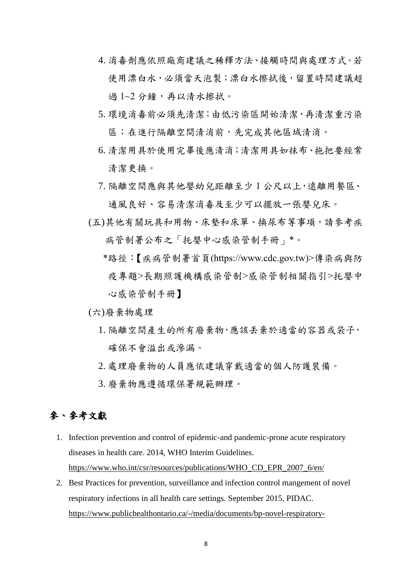- 4. 消毒劑應依照廠商建議之稀釋方法、接觸時間與處理方式。若 使用漂白水,必須當天泡製;漂白水擦拭後,留置時間建議超 過1~2分鐘,再以清水擦拭。
- 5. 環境消毒前必須先清潔;由低污染區開始清潔,再清潔重污染 區;在進行隔離空間清消前,先完成其他區域清消。
- 6. 清潔用具於使用完畢後應清消;清潔用具如抹布、拖把要經常 清潔更換。
- 7. 隔離空間應與其他嬰幼兒距離至少 1 公尺以上,遠離用餐區、 通風良好、容易清潔消毒及至少可以擺放一張嬰兒床。
- (五)其他有關玩具和用物、床墊和床單、換尿布等事項,請參考疾 病管制署公布之「托嬰中心感染管制手冊」\*。
	- \*路徑:【疾病管制署首頁(https://www.cdc.gov.tw)>傳染病與防 疫專題>長期照護機構感染管制>感染管制相關指引>托嬰中 心感染管制手冊】
- (六)廢棄物處理
	- 1. 隔離空間產生的所有廢棄物,應該丟棄於適當的容器或袋子, 確保不會溢出或滲漏。
	- 2. 處理廢棄物的人員應依建議穿戴適當的個人防護裝備。
	- 3. 廢棄物應遵循環保署規範辦理。

## 參、參考文獻

- 1. Infection prevention and control of epidemic-and pandemic-prone acute respiratory diseases in health care. 2014, WHO Interim Guidelines. [https://www.who.int/csr/resources/publications/WHO\\_CD\\_EPR\\_2007\\_6/en/](https://www.who.int/csr/resources/publications/WHO_CD_EPR_2007_6/en/)
- 2. Best Practices for prevention, surveillance and infection control mangement of novel respiratory infections in all health care settings. September 2015, PIDAC. [https://www.publichealthontario.ca/-/media/documents/bp-novel-respiratory-](https://www.publichealthontario.ca/-/media/documents/bp-novel-respiratory-infections.pdf?la=en)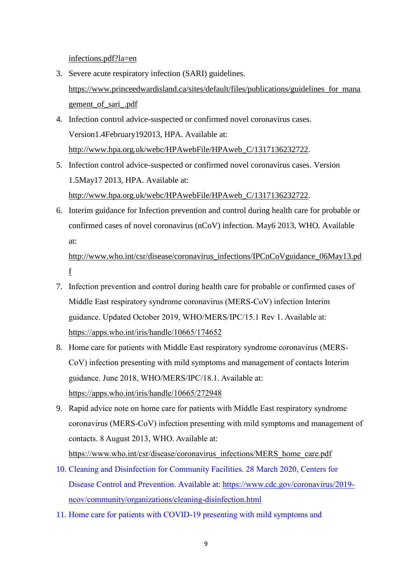[infections.pdf?la=en](https://www.publichealthontario.ca/-/media/documents/bp-novel-respiratory-infections.pdf?la=en)

- 3. Severe acute respiratory infection (SARI) guidelines. [https://www.princeedwardisland.ca/sites/default/files/publications/guidelines\\_for\\_mana](https://www.princeedwardisland.ca/sites/default/files/publications/guidelines_for_management_of_sari_.pdf) [gement\\_of\\_sari\\_.pdf](https://www.princeedwardisland.ca/sites/default/files/publications/guidelines_for_management_of_sari_.pdf)
- 4. Infection control advice-suspected or confirmed novel coronavirus cases. Version1.4February192013, HPA. Available at: [http://www.hpa.org.uk/webc/HPAwebFile/HPAweb\\_C/1317136232722.](http://www.hpa.org.uk/webc/HPAwebFile/HPAweb_C/1317136232722)
- 5. Infection control advice-suspected or confirmed novel coronavirus cases. Version 1.5May17 2013, HPA. Available at: [http://www.hpa.org.uk/webc/HPAwebFile/HPAweb\\_C/1317136232722.](http://www.hpa.org.uk/webc/HPAwebFile/HPAweb_C/1317136232722)
- 6. Interim guidance for Infection prevention and control during health care for probable or confirmed cases of novel coronavirus (nCoV) infection. May6 2013, WHO. Available at:

http://www.who.int/csr/disease/coronavirus\_infections/IPCnCoVguidance\_06May13.pd f

- 7. Infection prevention and control during health care for probable or confirmed cases of Middle East respiratory syndrome coronavirus (MERS-CoV) infection Interim guidance. Updated October 2019, WHO/MERS/IPC/15.1 Rev 1. Available at: <https://apps.who.int/iris/handle/10665/174652>
- 8. Home care for patients with Middle East respiratory syndrome coronavirus (MERS-CoV) infection presenting with mild symptoms and management of contacts Interim guidance. June 2018, WHO/MERS/IPC/18.1. Available at: <https://apps.who.int/iris/handle/10665/272948>
- 9. Rapid advice note on home care for patients with Middle East respiratory syndrome coronavirus (MERS-CoV) infection presenting with mild symptoms and management of contacts. 8 August 2013, WHO. Available at: [https://www.who.int/csr/disease/coronavirus\\_infections/MERS\\_home\\_care.pdf](https://www.who.int/csr/disease/coronavirus_infections/MERS_home_care.pdf)
- 10. Cleaning and Disinfection for Community Facilities. 28 March 2020, Centers for Disease Control and Prevention. Available at: [https://www.cdc.gov/coronavirus/2019](https://www.cdc.gov/coronavirus/2019-ncov/community/organizations/cleaning-disinfection.html) [ncov/community/organizations/cleaning-disinfection.html](https://www.cdc.gov/coronavirus/2019-ncov/community/organizations/cleaning-disinfection.html)
- 11. Home care for patients with COVID-19 presenting with mild symptoms and